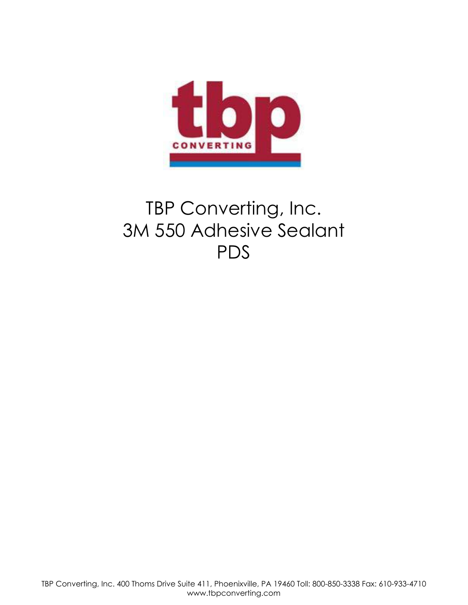

# TBP Converting, Inc. 3M 550 Adhesive Sealant PDS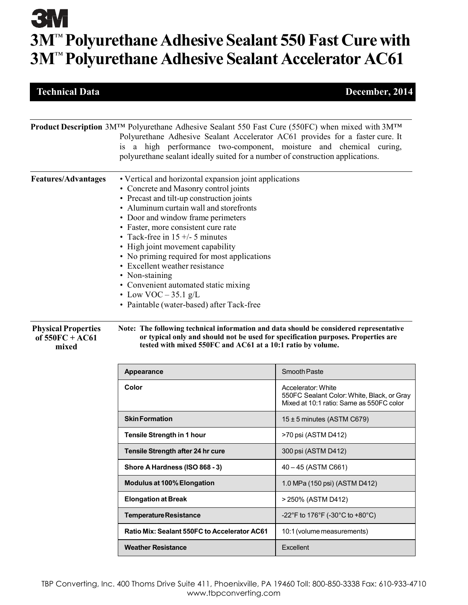# **3M 3M**™ **Polyurethane Adhesive Sealant 550 Fast Cure with 3M**™ **Polyurethane Adhesive Sealant Accelerator AC61**

### **Technical Data December, 2014**

|                                                          | Product Description 3M™ Polyurethane Adhesive Sealant 550 Fast Cure (550FC) when mixed with 3M™                                                                                                                                                                                                                                                                                                                                                                                                                                                                |                                                                                                              |  |  |  |
|----------------------------------------------------------|----------------------------------------------------------------------------------------------------------------------------------------------------------------------------------------------------------------------------------------------------------------------------------------------------------------------------------------------------------------------------------------------------------------------------------------------------------------------------------------------------------------------------------------------------------------|--------------------------------------------------------------------------------------------------------------|--|--|--|
|                                                          | Polyurethane Adhesive Sealant Accelerator AC61 provides for a faster cure. It<br>is a high performance two-component, moisture and chemical curing,<br>polyurethane sealant ideally suited for a number of construction applications.                                                                                                                                                                                                                                                                                                                          |                                                                                                              |  |  |  |
| <b>Features/Advantages</b>                               | • Vertical and horizontal expansion joint applications<br>• Concrete and Masonry control joints<br>• Precast and tilt-up construction joints<br>• Aluminum curtain wall and storefronts<br>• Door and window frame perimeters<br>• Faster, more consistent cure rate<br>• Tack-free in $15 +/- 5$ minutes<br>• High joint movement capability<br>• No priming required for most applications<br>• Excellent weather resistance<br>• Non-staining<br>• Convenient automated static mixing<br>• Low VOC $-35.1$ g/L<br>• Paintable (water-based) after Tack-free |                                                                                                              |  |  |  |
| <b>Physical Properties</b><br>of $550FC + AC61$<br>mixed | Note: The following technical information and data should be considered representative<br>or typical only and should not be used for specification purposes. Properties are<br>tested with mixed 550FC and AC61 at a 10:1 ratio by volume.                                                                                                                                                                                                                                                                                                                     |                                                                                                              |  |  |  |
|                                                          | Appearance                                                                                                                                                                                                                                                                                                                                                                                                                                                                                                                                                     | Smooth Paste                                                                                                 |  |  |  |
|                                                          | Color                                                                                                                                                                                                                                                                                                                                                                                                                                                                                                                                                          | Accelerator: White<br>550FC Sealant Color: White, Black, or Gray<br>Mixed at 10:1 ratio: Same as 550FC color |  |  |  |
|                                                          | <b>Skin Formation</b>                                                                                                                                                                                                                                                                                                                                                                                                                                                                                                                                          | $15 \pm 5$ minutes (ASTM C679)                                                                               |  |  |  |
|                                                          | Tensile Strength in 1 hour                                                                                                                                                                                                                                                                                                                                                                                                                                                                                                                                     | >70 psi (ASTM D412)                                                                                          |  |  |  |
|                                                          | Tensile Strength after 24 hr cure                                                                                                                                                                                                                                                                                                                                                                                                                                                                                                                              | 300 psi (ASTM D412)                                                                                          |  |  |  |
|                                                          | Shore A Hardness (ISO 868 - 3)                                                                                                                                                                                                                                                                                                                                                                                                                                                                                                                                 | 40 - 45 (ASTM C661)                                                                                          |  |  |  |
|                                                          | Modulus at 100% Elongation                                                                                                                                                                                                                                                                                                                                                                                                                                                                                                                                     | 1.0 MPa (150 psi) (ASTM D412)                                                                                |  |  |  |
|                                                          | <b>Elongation at Break</b>                                                                                                                                                                                                                                                                                                                                                                                                                                                                                                                                     | > 250% (ASTM D412)                                                                                           |  |  |  |
|                                                          | <b>Temperature Resistance</b>                                                                                                                                                                                                                                                                                                                                                                                                                                                                                                                                  | -22°F to 176°F (-30°C to +80°C)                                                                              |  |  |  |
|                                                          | Ratio Mix: Sealant 550FC to Accelerator AC61                                                                                                                                                                                                                                                                                                                                                                                                                                                                                                                   | 10:1 (volume measurements)                                                                                   |  |  |  |
|                                                          | <b>Weather Resistance</b>                                                                                                                                                                                                                                                                                                                                                                                                                                                                                                                                      | Excellent                                                                                                    |  |  |  |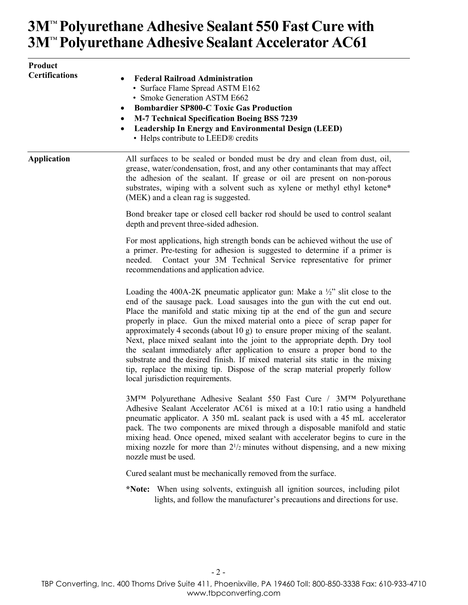## **3M**™ **Polyurethane Adhesive Sealant 550 Fast Cure with 3M**™ **Polyurethane Adhesive Sealant Accelerator AC61**

| Product<br><b>Certifications</b> | <b>Federal Railroad Administration</b><br>• Surface Flame Spread ASTM E162<br>• Smoke Generation ASTM E662<br><b>Bombardier SP800-C Toxic Gas Production</b><br>$\bullet$<br><b>M-7 Technical Specification Boeing BSS 7239</b><br><b>Leadership In Energy and Environmental Design (LEED)</b><br>• Helps contribute to LEED® credits                                                                                                                                                                                                                                                                                                                                                                                                                                          |  |  |
|----------------------------------|--------------------------------------------------------------------------------------------------------------------------------------------------------------------------------------------------------------------------------------------------------------------------------------------------------------------------------------------------------------------------------------------------------------------------------------------------------------------------------------------------------------------------------------------------------------------------------------------------------------------------------------------------------------------------------------------------------------------------------------------------------------------------------|--|--|
| <b>Application</b>               | All surfaces to be sealed or bonded must be dry and clean from dust, oil,<br>grease, water/condensation, frost, and any other contaminants that may affect<br>the adhesion of the sealant. If grease or oil are present on non-porous<br>substrates, wiping with a solvent such as xylene or methyl ethyl ketone*<br>(MEK) and a clean rag is suggested.                                                                                                                                                                                                                                                                                                                                                                                                                       |  |  |
|                                  | Bond breaker tape or closed cell backer rod should be used to control sealant<br>depth and prevent three-sided adhesion.                                                                                                                                                                                                                                                                                                                                                                                                                                                                                                                                                                                                                                                       |  |  |
|                                  | For most applications, high strength bonds can be achieved without the use of<br>a primer. Pre-testing for adhesion is suggested to determine if a primer is<br>Contact your 3M Technical Service representative for primer<br>needed.<br>recommendations and application advice.                                                                                                                                                                                                                                                                                                                                                                                                                                                                                              |  |  |
|                                  | Loading the 400A-2K pneumatic applicator gun: Make a $\frac{1}{2}$ " slit close to the<br>end of the sausage pack. Load sausages into the gun with the cut end out.<br>Place the manifold and static mixing tip at the end of the gun and secure<br>properly in place. Gun the mixed material onto a piece of scrap paper for<br>approximately 4 seconds (about $10 g$ ) to ensure proper mixing of the sealant.<br>Next, place mixed sealant into the joint to the appropriate depth. Dry tool<br>the sealant immediately after application to ensure a proper bond to the<br>substrate and the desired finish. If mixed material sits static in the mixing<br>tip, replace the mixing tip. Dispose of the scrap material properly follow<br>local jurisdiction requirements. |  |  |
|                                  | 3M <sup>TM</sup> Polyurethane Adhesive Sealant 550 Fast Cure / 3M <sup>TM</sup> Polyurethane<br>Adhesive Sealant Accelerator AC61 is mixed at a 10:1 ratio using a handheld<br>pneumatic applicator. A 350 mL sealant pack is used with a 45 mL accelerator<br>pack. The two components are mixed through a disposable manifold and static<br>mixing head. Once opened, mixed sealant with accelerator begins to cure in the<br>mixing nozzle for more than $2^{1/2}$ minutes without dispensing, and a new mixing<br>nozzle must be used.                                                                                                                                                                                                                                     |  |  |
|                                  | Cured sealant must be mechanically removed from the surface.                                                                                                                                                                                                                                                                                                                                                                                                                                                                                                                                                                                                                                                                                                                   |  |  |
|                                  | *Note: When using solvents, extinguish all ignition sources, including pilot<br>lights, and follow the manufacturer's precautions and directions for use.                                                                                                                                                                                                                                                                                                                                                                                                                                                                                                                                                                                                                      |  |  |
|                                  |                                                                                                                                                                                                                                                                                                                                                                                                                                                                                                                                                                                                                                                                                                                                                                                |  |  |